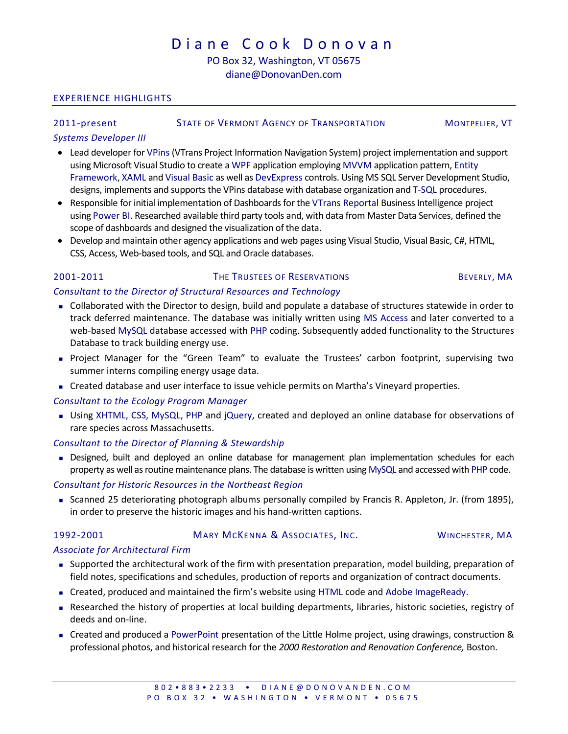# D i a n e C o o k D o n o v a n

## PO Box 32, Washington, VT 05675 diane@DonovanDen.com

#### EXPERIENCE HIGHLIGHTS

#### 2011-present STATE OF VERMONT AGENCY OF TRANSPORTATION MONTPELIER, VT

#### Systems Developer III

- Lead developer for VPins (VTrans Project Information Navigation System) project implementation and support using Microsoft Visual Studio to create a WPF application employing MVVM application pattern, Entity Framework, XAML and Visual Basic as well as DevExpress controls. Using MS SQL Server Development Studio, designs, implements and supports the VPins database with database organization and T-SQL procedures.
- Responsible for initial implementation of Dashboards for the VTrans Reportal Business Intelligence project using Power BI. Researched available third party tools and, with data from Master Data Services, defined the scope of dashboards and designed the visualization of the data.
- Develop and maintain other agency applications and web pages using Visual Studio, Visual Basic, C#, HTML, CSS, Access, Web-based tools, and SQL and Oracle databases.

#### 2001-2011 THE TRUSTEES OF RESERVATIONS BEVERLY, MA

#### Consultant to the Director of Structural Resources and Technology

- Collaborated with the Director to design, build and populate a database of structures statewide in order to track deferred maintenance. The database was initially written using MS Access and later converted to a web-based MySQL database accessed with PHP coding. Subsequently added functionality to the Structures Database to track building energy use.
- Project Manager for the "Green Team" to evaluate the Trustees' carbon footprint, supervising two summer interns compiling energy usage data.
- **Created database and user interface to issue vehicle permits on Martha's Vineyard properties.**

#### Consultant to the Ecology Program Manager

 Using XHTML, CSS, MySQL, PHP and jQuery, created and deployed an online database for observations of rare species across Massachusetts.

#### Consultant to the Director of Planning & Stewardship

 Designed, built and deployed an online database for management plan implementation schedules for each property as well as routine maintenance plans. The database is written using MySQL and accessed with PHP code.

#### Consultant for Historic Resources in the Northeast Region

 Scanned 25 deteriorating photograph albums personally compiled by Francis R. Appleton, Jr. (from 1895), in order to preserve the historic images and his hand-written captions.

#### 1992-2001 MARY MCKENNA & ASSOCIATES, INC. WINCHESTER, MA

#### Associate for Architectural Firm

- Supported the architectural work of the firm with presentation preparation, model building, preparation of field notes, specifications and schedules, production of reports and organization of contract documents.
- Created, produced and maintained the firm's website using HTML code and Adobe ImageReady.
- Researched the history of properties at local building departments, libraries, historic societies, registry of deeds and on-line.
- Created and produced a PowerPoint presentation of the Little Holme project, using drawings, construction & professional photos, and historical research for the 2000 Restoration and Renovation Conference, Boston.